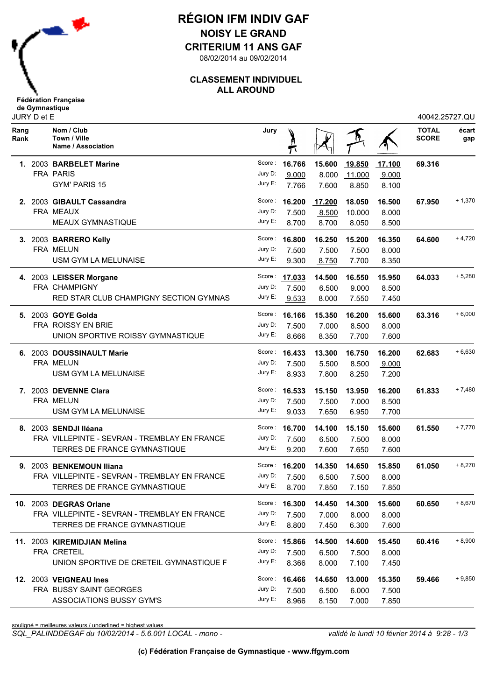

## **RÉGION IFM INDIV GAF NOISY LE GRAND**

**CRITERIUM 11 ANS GAF**

08/02/2014 au 09/02/2014

#### **CLASSEMENT INDIVIDUEL ALL AROUND**

| <b>Fédération Française</b> |  |
|-----------------------------|--|
| de Gymnastique              |  |
| JURY D et E                 |  |

|              | <b>JUILLU ULL</b> |                                                  |         |                      |        |        |        | 70072.ZUIZI.QU               |              |
|--------------|-------------------|--------------------------------------------------|---------|----------------------|--------|--------|--------|------------------------------|--------------|
| Rang<br>Rank |                   | Nom / Club<br>Town / Ville<br>Name / Association | Jury    |                      |        |        |        | <b>TOTAL</b><br><b>SCORE</b> | écart<br>gap |
|              |                   | 1. 2003 BARBELET Marine                          | Score : | 16.766               | 15.600 | 19.850 | 17.100 | 69.316                       |              |
|              |                   | <b>FRA PARIS</b>                                 | Jury D: | 9.000                | 8.000  | 11.000 | 9.000  |                              |              |
|              |                   | GYM' PARIS 15                                    | Jury E: | 7.766                | 7.600  | 8.850  | 8.100  |                              |              |
|              |                   | 2. 2003 GIBAULT Cassandra                        | Score : | 16.200               | 17.200 | 18.050 | 16.500 | 67.950                       | $+1,370$     |
|              |                   | FRA MEAUX                                        | Jury D: | 7.500                | 8.500  | 10.000 | 8.000  |                              |              |
|              |                   | <b>MEAUX GYMNASTIQUE</b>                         | Jury E: | 8.700                | 8.700  | 8.050  | 8.500  |                              |              |
|              |                   | 3. 2003 BARRERO Kelly                            |         | Score: 16.800        | 16.250 | 15.200 | 16.350 | 64.600                       | $+4,720$     |
|              |                   | FRA MELUN                                        | Jury D: | 7.500                | 7.500  | 7.500  | 8.000  |                              |              |
|              |                   | USM GYM LA MELUNAISE                             | Jury E: | 9.300                | 8.750  | 7.700  | 8.350  |                              |              |
|              |                   | 4. 2003 LEISSER Morgane                          |         | Score: 17.033        | 14.500 | 16.550 | 15.950 | 64.033                       | $+5,280$     |
|              |                   | FRA CHAMPIGNY                                    | Jury D: | 7.500                | 6.500  | 9.000  | 8.500  |                              |              |
|              |                   | RED STAR CLUB CHAMPIGNY SECTION GYMNAS           | Jury E: | 9.533                | 8.000  | 7.550  | 7.450  |                              |              |
|              |                   | 5. 2003 GOYE Golda                               |         | Score: 16.166        | 15.350 | 16.200 | 15.600 | 63.316                       | $+6,000$     |
|              |                   | <b>FRA ROISSY EN BRIE</b>                        | Jury D: | 7.500                | 7.000  | 8.500  | 8.000  |                              |              |
|              |                   | UNION SPORTIVE ROISSY GYMNASTIQUE                | Jury E: | 8.666                | 8.350  | 7.700  | 7.600  |                              |              |
|              |                   | 6. 2003 DOUSSINAULT Marie                        |         | Score: 16.433        | 13.300 | 16.750 | 16.200 | 62.683                       | $+6,630$     |
|              |                   | FRA MELUN                                        | Jury D: | 7.500                | 5.500  | 8.500  | 9.000  |                              |              |
|              |                   | USM GYM LA MELUNAISE                             | Jury E: | 8.933                | 7.800  | 8.250  | 7.200  |                              |              |
|              |                   | 7. 2003 DEVENNE Clara                            |         | Score: <b>16.533</b> | 15.150 | 13.950 | 16.200 | 61.833                       | $+7,480$     |
|              |                   | <b>FRA MELUN</b>                                 | Jury D: | 7.500                | 7.500  | 7.000  | 8.500  |                              |              |
|              |                   | USM GYM LA MELUNAISE                             | Jury E: | 9.033                | 7.650  | 6.950  | 7.700  |                              |              |
|              |                   | 8. 2003 SENDJI Iléana                            | Score : | 16.700               | 14.100 | 15.150 | 15.600 | 61.550                       | $+7,770$     |
|              |                   | FRA VILLEPINTE - SEVRAN - TREMBLAY EN FRANCE     | Jury D: | 7.500                | 6.500  | 7.500  | 8.000  |                              |              |
|              |                   | TERRES DE FRANCE GYMNASTIQUE                     | Jury E: | 9.200                | 7.600  | 7.650  | 7.600  |                              |              |
|              |                   | 9. 2003 BENKEMOUN Iliana                         | Score:  | 16.200               | 14.350 | 14.650 | 15.850 | 61.050                       | $+8,270$     |
|              |                   | FRA VILLEPINTE - SEVRAN - TREMBLAY EN FRANCE     | Jury D: | 7.500                | 6.500  | 7.500  | 8.000  |                              |              |
|              |                   | TERRES DE FRANCE GYMNASTIQUE                     | Jury E: | 8.700                | 7.850  | 7.150  | 7.850  |                              |              |
|              |                   | 10. 2003 DEGRAS Orlane                           |         | Score: 16.300        | 14.450 | 14.300 | 15.600 | 60.650                       | $+8,670$     |
|              |                   | FRA VILLEPINTE - SEVRAN - TREMBLAY EN FRANCE     | Jury D: | 7.500                | 7.000  | 8.000  | 8.000  |                              |              |
|              |                   | TERRES DE FRANCE GYMNASTIQUE                     | Jury E: | 8.800                | 7.450  | 6.300  | 7.600  |                              |              |
|              |                   | 11. 2003 KIREMIDJIAN Melina                      |         | Score: 15.866        | 14.500 | 14.600 | 15.450 | 60.416                       | $+8,900$     |
|              |                   | FRA CRETEIL                                      | Jury D: | 7.500                | 6.500  | 7.500  | 8.000  |                              |              |
|              |                   | UNION SPORTIVE DE CRETEIL GYMNASTIQUE F          | Jury E: | 8.366                | 8.000  | 7.100  | 7.450  |                              |              |
|              |                   | 12. 2003 VEIGNEAU Ines                           |         | Score: 16.466        | 14.650 | 13.000 | 15.350 | 59.466                       | $+9,850$     |
|              |                   | FRA BUSSY SAINT GEORGES                          | Jury D: | 7.500                | 6.500  | 6.000  | 7.500  |                              |              |
|              |                   | <b>ASSOCIATIONS BUSSY GYM'S</b>                  | Jury E: | 8.966                | 8.150  | 7.000  | 7.850  |                              |              |
|              |                   |                                                  |         |                      |        |        |        |                              |              |

souligné = meilleures valeurs / underlined = highest values

*SQL\_PALINDDEGAF du 10/02/2014 - 5.6.001 LOCAL - mono - validé le lundi 10 février 2014 à 9:28 - 1/3*

40042.25727.QU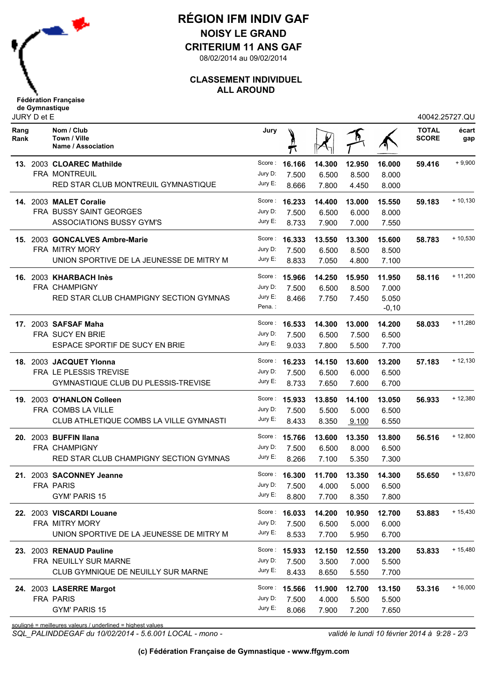

### **RÉGION IFM INDIV GAF NOISY LE GRAND**

**CRITERIUM 11 ANS GAF**

08/02/2014 au 09/02/2014

#### **CLASSEMENT INDIVIDUEL ALL AROUND**

| <b>Fédération Française</b> |  |
|-----------------------------|--|
| de Gymnastique              |  |
| JURY D et E                 |  |

|              | JURY D et E |                                                             |         |                      |                     |        |         |                              | 40042.25727.QU |
|--------------|-------------|-------------------------------------------------------------|---------|----------------------|---------------------|--------|---------|------------------------------|----------------|
| Rang<br>Rank |             | Nom / Club<br>Town / Ville<br>Name / Association            | Jury    |                      |                     |        |         | <b>TOTAL</b><br><b>SCORE</b> | écart<br>gap   |
|              |             | 13. 2003 CLOAREC Mathilde                                   | Score : | 16.166               | 14.300              | 12.950 | 16.000  | 59.416                       | $+9,900$       |
|              |             | FRA MONTREUIL                                               | Jury D: | 7.500                | 6.500               | 8.500  | 8.000   |                              |                |
|              |             | RED STAR CLUB MONTREUIL GYMNASTIQUE                         | Jury E: | 8.666                | 7.800               | 4.450  | 8.000   |                              |                |
|              |             | 14. 2003 MALET Coralie                                      |         | Score: 16.233        | 14.400              | 13.000 | 15.550  | 59.183                       | $+10,130$      |
|              |             | FRA BUSSY SAINT GEORGES                                     | Jury D: | 7.500                | 6.500               | 6.000  | 8.000   |                              |                |
|              |             | <b>ASSOCIATIONS BUSSY GYM'S</b>                             | Jury E: | 8.733                | 7.900               | 7.000  | 7.550   |                              |                |
|              |             | 15. 2003 GONCALVES Ambre-Marie                              |         | Score: <b>16.333</b> | 13.550              | 13.300 | 15,600  | 58.783                       | $+10,530$      |
|              |             | FRA MITRY MORY                                              | Jury D: | 7.500                | 6.500               | 8.500  | 8.500   |                              |                |
|              |             | UNION SPORTIVE DE LA JEUNESSE DE MITRY M                    | Jury E: | 8.833                | 7.050               | 4.800  | 7.100   |                              |                |
|              |             | 16. 2003 KHARBACH Inès                                      |         | Score: 15.966        | 14.250              | 15.950 | 11.950  | 58.116                       | $+ 11,200$     |
|              |             | FRA CHAMPIGNY                                               | Jury D: | 7.500                | 6.500               | 8.500  | 7.000   |                              |                |
|              |             | RED STAR CLUB CHAMPIGNY SECTION GYMNAS                      | Jury E: | 8.466                | 7.750               | 7.450  | 5.050   |                              |                |
|              |             |                                                             | Pena.:  |                      |                     |        | $-0,10$ |                              |                |
|              |             | 17. 2003 SAFSAF Maha                                        | Score : | 16.533               | 14.300              | 13.000 | 14.200  | 58.033                       | $+ 11,280$     |
|              |             | <b>FRA SUCY EN BRIE</b>                                     | Jury D: | 7.500                | 6.500               | 7.500  | 6.500   |                              |                |
|              |             | ESPACE SPORTIF DE SUCY EN BRIE                              | Jury E: | 9.033                | 7.800               | 5.500  | 7.700   |                              |                |
|              |             | 18. 2003 JACQUET Ylonna                                     |         | Score: 16.233        | 14.150              | 13.600 | 13.200  | 57.183                       | $+12,130$      |
|              |             | FRA LE PLESSIS TREVISE                                      | Jury D: | 7.500                | 6.500               | 6.000  | 6.500   |                              |                |
|              |             | <b>GYMNASTIQUE CLUB DU PLESSIS-TREVISE</b>                  | Jury E: | 8.733                | 7.650               | 7.600  | 6.700   |                              |                |
| 19.          |             | 2003 O'HANLON Colleen                                       |         | Score: 15.933        | 13.850              | 14.100 | 13.050  | 56.933                       | $+12,380$      |
|              |             | FRA COMBS LA VILLE                                          | Jury D: | 7.500                | 5.500               | 5.000  | 6.500   |                              |                |
|              |             | CLUB ATHLETIQUE COMBS LA VILLE GYMNASTI                     | Jury E: | 8.433                | 8.350               | 9.100  | 6.550   |                              |                |
|              |             | 20. 2003 BUFFIN Ilana                                       | Score:  | 15.766               | 13.600              | 13.350 | 13.800  | 56.516                       | $+12,800$      |
|              |             | FRA CHAMPIGNY                                               | Jury D: | 7.500                | 6.500               | 8.000  | 6.500   |                              |                |
|              |             | RED STAR CLUB CHAMPIGNY SECTION GYMNAS                      | Jury E: | 8.266                | 7.100               | 5.350  | 7.300   |                              |                |
|              |             | 21. 2003 SACONNEY Jeanne                                    |         | Score: 16,300        | 11.700              | 13.350 | 14.300  | 55.650                       | $+13,670$      |
|              |             | FRA PARIS                                                   |         |                      | Jury D: 7.500 4.000 | 5.000  | 6.500   |                              |                |
|              |             | GYM' PARIS 15                                               | Jury E: | 8.800                | 7.700               | 8.350  | 7.800   |                              |                |
|              |             | 22. 2003 VISCARDI Louane                                    |         | Score: 16.033        | 14.200              | 10.950 | 12.700  | 53.883                       | $+15,430$      |
|              |             | FRA MITRY MORY                                              | Jury D: | 7.500                | 6.500               | 5.000  | 6.000   |                              |                |
|              |             | UNION SPORTIVE DE LA JEUNESSE DE MITRY M                    | Jury E: | 8.533                | 7.700               | 5.950  | 6.700   |                              |                |
|              |             | 23. 2003 RENAUD Pauline                                     |         | Score: 15.933        | 12.150              | 12.550 | 13.200  | 53.833                       | $+15,480$      |
|              |             | FRA NEUILLY SUR MARNE                                       | Jury D: | 7.500                | 3.500               | 7.000  | 5.500   |                              |                |
|              |             | CLUB GYMNIQUE DE NEUILLY SUR MARNE                          | Jury E: | 8.433                | 8.650               | 5.550  | 7.700   |                              |                |
|              |             | 24. 2003 LASERRE Margot                                     |         | Score: 15.566        | 11.900              | 12.700 | 13.150  | 53.316                       | $+16,000$      |
|              |             | FRA PARIS                                                   | Jury D: | 7.500                | 4.000               | 5.500  | 5.500   |                              |                |
|              |             | <b>GYM' PARIS 15</b>                                        | Jury E: | 8.066                | 7.900               | 7.200  | 7.650   |                              |                |
|              |             | souligné = meilleures valeurs / underlined = highest values |         |                      |                     |        |         |                              |                |

*SQL\_PALINDDEGAF du 10/02/2014 - 5.6.001 LOCAL - mono - validé le lundi 10 février 2014 à 9:28 - 2/3*